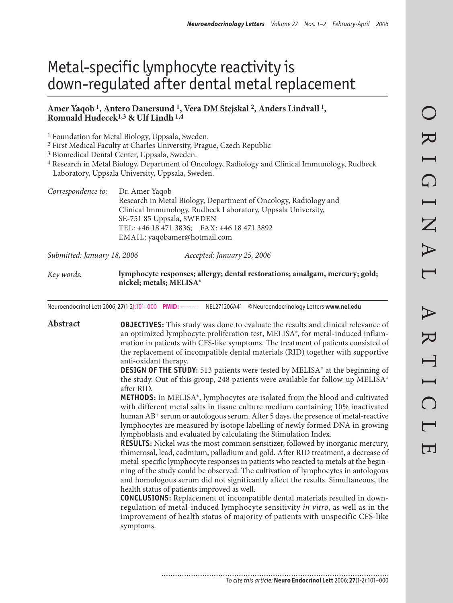# Metal-specific lymphocyte reactivity is down-regulated after dental metal replacement

#### **Amer Yaqob 1, Antero Danersund 1, Vera DM Stejskal 2, Anders Lindvall 1, Romuald Hudecek1,3 & Ulf Lindh 1,4**

1 Foundation for Metal Biology, Uppsala, Sweden.

2 First Medical Faculty at Charles University, Prague, Czech Republic

3 Biomedical Dental Center, Uppsala, Sweden.

4 Research in Metal Biology, Department of Oncology, Radiology and Clinical Immunology, Rudbeck Laboratory, Uppsala University, Uppsala, Sweden.

| Correspondence to: Dr. Amer Yaqob |                                                                                                                                  |                            |  |  |
|-----------------------------------|----------------------------------------------------------------------------------------------------------------------------------|----------------------------|--|--|
|                                   | Research in Metal Biology, Department of Oncology, Radiology and<br>Clinical Immunology, Rudbeck Laboratory, Uppsala University, |                            |  |  |
|                                   | SE-751 85 Uppsala, SWEDEN<br>TEL: +46 18 471 3836; FAX: +46 18 471 3892                                                          |                            |  |  |
|                                   | EMAIL: yaqobamer@hotmail.com                                                                                                     |                            |  |  |
| Submitted: January 18, 2006       |                                                                                                                                  | Accepted: January 25, 2006 |  |  |

*Key words:* **lymphocyte responses; allergy; dental restorations; amalgam, mercury; gold; nickel; metals; MELISA®**

Neuroendocrinol Lett 2006; **27**(1-2):101–000 **PMID:** --------- NEL271206A41 © Neuroendocrinology Letters **www.nel.edu**

**Abstract OBJECTIVES:** This study was done to evaluate the results and clinical relevance of an optimized lymphocyte proliferation test, MELISA®, for metal-induced inflammation in patients with CFS-like symptoms. The treatment of patients consisted of the replacement of incompatible dental materials (RID) together with supportive anti-oxidant therapy.

> **DESIGN OF THE STUDY:** 513 patients were tested by MELISA® at the beginning of the study. Out of this group, 248 patients were available for follow-up MELISA® after RID.

> **METHODS:** In MELISA®, lymphocytes are isolated from the blood and cultivated with different metal salts in tissue culture medium containing 10% inactivated human AB<sup>+</sup> serum or autologous serum. After 5 days, the presence of metal-reactive lymphocytes are measured by isotope labelling of newly formed DNA in growing lymphoblasts and evaluated by calculating the Stimulation Index.

> **RESULTS:** Nickel was the most common sensitizer, followed by inorganic mercury, thimerosal, lead, cadmium, palladium and gold. After RID treatment, a decrease of metal-specific lymphocyte responses in patients who reacted to metals at the beginning of the study could be observed. The cultivation of lymphocytes in autologous and homologous serum did not significantly affect the results. Simultaneous, the health status of patients improved as well.

> **CONCLUSIONS:** Replacement of incompatible dental materials resulted in downregulation of metal-induced lymphocyte sensitivity *in vitro*, as well as in the improvement of health status of majority of patients with unspecific CFS-like symptoms.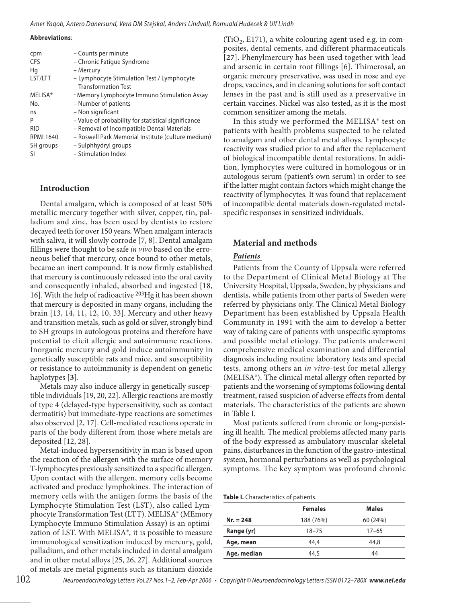**Abbreviations**:

| cpm<br><b>CFS</b> | - Counts per minute<br>- Chronic Fatigue Syndrome   |
|-------------------|-----------------------------------------------------|
| Hq                | – Mercury                                           |
| LST/LTT           | - Lymphocyte Stimulation Test / Lymphocyte          |
|                   | <b>Transformation Test</b>                          |
| <b>MELISA®</b>    | - Memory Lymphocyte Immuno Stimulation Assay        |
| No.               | - Number of patients                                |
| ns                | - Non significant                                   |
| P                 | - Value of probability for statistical significance |
| <b>RID</b>        | - Removal of Incompatible Dental Materials          |
| <b>RPMI 1640</b>  | - Roswell Park Memorial Institute (culture medium)  |
| SH groups         | - Sulphhydryl groups                                |
| -SI               | - Stimulation Index                                 |

#### **Introduction**

Dental amalgam, which is composed of at least 50% metallic mercury together with silver, copper, tin, palladium and zinc, has been used by dentists to restore decayed teeth for over 150 years. When amalgam interacts with saliva, it will slowly corrode [7, 8]. Dental amalgam fillings were thought to be safe *in vivo* based on the erroneous belief that mercury, once bound to other metals, became an inert compound. It is now firmly established that mercury is continuously released into the oral cavity and consequently inhaled, absorbed and ingested [18, 16]. With the help of radioactive 203Hg it has been shown that mercury is deposited in many organs, including the brain [13, 14, 11, 12, 10, 33]. Mercury and other heavy and transition metals, such as gold or silver, strongly bind to SH groups in autologous proteins and therefore have potential to elicit allergic and autoimmune reactions. Inorganic mercury and gold induce autoimmunity in genetically susceptible rats and mice, and susceptibility or resistance to autoimmunity is dependent on genetic haplotypes [**3**].

Metals may also induce allergy in genetically susceptible individuals [19, 20, 22]. Allergic reactions are mostly of type 4 (delayed-type hypersensitivity, such as contact dermatitis) but immediate-type reactions are sometimes also observed [2, 17]. Cell-mediated reactions operate in parts of the body different from those where metals are deposited [12, 28].

Metal-induced hypersensitivity in man is based upon the reaction of the allergen with the surface of memory T-lymphocytes previously sensitized to a specific allergen. Upon contact with the allergen, memory cells become activated and produce lymphokines. The interaction of memory cells with the antigen forms the basis of the Lymphocyte Stimulation Test (LST), also called Lymphocyte Transformation Test (LTT). MELISA® (MEmory Lymphocyte Immuno Stimulation Assay) is an optimization of LST. With MELISA®, it is possible to measure immunological sensitization induced by mercury, gold, palladium, and other metals included in dental amalgam and in other metal alloys [25, 26, 27]. Additional sources of metals are metal pigments such as titanium dioxide

 $(TIO<sub>2</sub>, E171)$ , a white colouring agent used e.g. in composites, dental cements, and different pharmaceuticals [**27**]. Phenylmercury has been used together with lead and arsenic in certain root fillings [6]. Thimerosal, an organic mercury preservative, was used in nose and eye drops, vaccines, and in cleaning solutions for soft contact lenses in the past and is still used as a preservative in certain vaccines. Nickel was also tested, as it is the most common sensitizer among the metals.

In this study we performed the MELISA® test on patients with health problems suspected to be related to amalgam and other dental metal alloys. Lymphocyte reactivity was studied prior to and after the replacement of biological incompatible dental restorations. In addition, lymphocytes were cultured in homologous or in autologous serum (patient's own serum) in order to see if the latter might contain factors which might change the reactivity of lymphocytes. It was found that replacement of incompatible dental materials down-regulated metalspecific responses in sensitized individuals.

## **Material and methods**

#### *Patients*

Patients from the County of Uppsala were referred to the Department of Clinical Metal Biology at The University Hospital, Uppsala, Sweden, by physicians and dentists, while patients from other parts of Sweden were referred by physicians only. The Clinical Metal Biology Department has been established by Uppsala Health Community in 1991 with the aim to develop a better way of taking care of patients with unspecific symptoms and possible metal etiology. The patients underwent comprehensive medical examination and differential diagnosis including routine laboratory tests and special tests, among others an *in vitro*-test for metal allergy (MELISA®). The clinical metal allergy often reported by patients and the worsening of symptoms following dental treatment, raised suspicion of adverse effects from dental materials. The characteristics of the patients are shown in Table I.

Most patients suffered from chronic or long-persisting ill health. The medical problems affected many parts of the body expressed as ambulatory muscular-skeletal pains, disturbances in the function of the gastro-intestinal system, hormonal perturbations as well as psychological symptoms. The key symptom was profound chronic

**Table I.** Characteristics of patients.

|             | <b>Females</b> | <b>Males</b> |
|-------------|----------------|--------------|
| $Nr. = 248$ | 188 (76%)      | 60 (24%)     |
| Range (yr)  | $18 - 75$      | $17 - 65$    |
| Age, mean   | 44.4           | 44.8         |
| Age, median | 44.5           | 44           |
|             |                |              |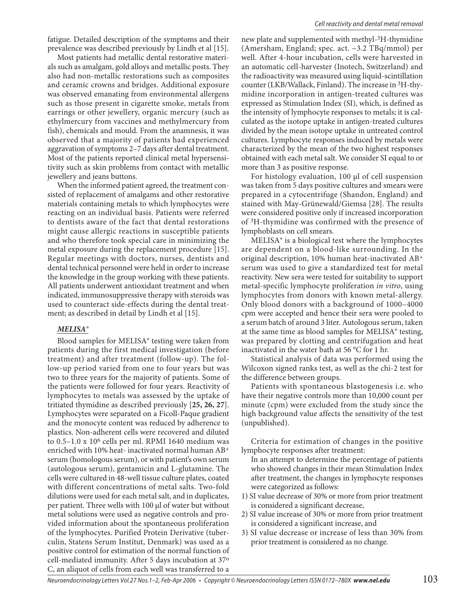fatigue. Detailed description of the symptoms and their prevalence was described previously by Lindh et al [15].

Most patients had metallic dental restorative materials such as amalgam, gold alloys and metallic posts. They also had non-metallic restorations such as composites and ceramic crowns and bridges. Additional exposure was observed emanating from environmental allergens such as those present in cigarette smoke, metals from earrings or other jewellery, organic mercury (such as ethylmercury from vaccines and methylmercury from fish), chemicals and mould. From the anamnesis, it was observed that a majority of patients had experienced aggravation of symptoms 2–7 days after dental treatment. Most of the patients reported clinical metal hypersensitivity such as skin problems from contact with metallic jewellery and jeans buttons.

When the informed patient agreed, the treatment consisted of replacement of amalgams and other restorative materials containing metals to which lymphocytes were reacting on an individual basis. Patients were referred to dentists aware of the fact that dental restorations might cause allergic reactions in susceptible patients and who therefore took special care in minimizing the metal exposure during the replacement procedure [15]. Regular meetings with doctors, nurses, dentists and dental technical personnel were held in order to increase the knowledge in the group working with these patients. All patients underwent antioxidant treatment and when indicated, immunosuppressive therapy with steroids was used to counteract side-effects during the dental treatment; as described in detail by Lindh et al [15].

#### *MELISA®*

Blood samples for MELISA® testing were taken from patients during the first medical investigation (before treatment) and after treatment (follow-up). The follow-up period varied from one to four years but was two to three years for the majority of patients. Some of the patients were followed for four years. Reactivity of lymphocytes to metals was assessed by the uptake of tritiated thymidine as described previously [**25, 26, 27**]. Lymphocytes were separated on a Ficoll-Paque gradient and the monocyte content was reduced by adherence to plastics. Non-adherent cells were recovered and diluted to  $0.5-1.0 \times 10^6$  cells per ml. RPMI 1640 medium was enriched with 10% heat- inactivated normal human AB+ serum (homologous serum), or with patient's own serum (autologous serum), gentamicin and L-glutamine. The cells were cultured in 48-well tissue culture plates, coated with different concentrations of metal salts. Two-fold dilutions were used for each metal salt, and in duplicates, per patient. Three wells with 100 µl of water but without metal solutions were used as negative controls and provided information about the spontaneous proliferation of the lymphocytes. Purified Protein Derivative (tuberculin, Statens Serum Institut, Denmark) was used as a positive control for estimation of the normal function of cell-mediated immunity. After 5 days incubation at 37o C, an aliquot of cells from each well was transferred to a

new plate and supplemented with methyl-3H-thymidine (Amersham, England; spec. act. ~3.2 TBq/mmol) per well. After 4-hour incubation, cells were harvested in an automatic cell-harvester (Inotech, Switzerland) and the radioactivity was measured using liquid-scintillation counter (LKB/Wallack, Finland). The increase in 3H-thymidine incorporation in antigen-treated cultures was expressed as Stimulation Index (SI), which, is defined as the intensity of lymphocyte responses to metals; it is calculated as the isotope uptake in antigen-treated cultures divided by the mean isotope uptake in untreated control cultures. Lymphocyte responses induced by metals were characterized by the mean of the two highest responses obtained with each metal salt. We consider SI equal to or more than 3 as positive response.

For histology evaluation, 100 µl of cell suspension was taken from 5 days positive cultures and smears were prepared in a cytocentrifuge (Shandon, England) and stained with May-Grünewald/Giemsa [28]. The results were considered positive only if increased incorporation of 3H-thymidine was confirmed with the presence of lymphoblasts on cell smears.

MELISA® is a biological test where the lymphocytes are dependent on a blood-like surrounding. In the original description, 10% human heat-inactivated AB+ serum was used to give a standardized test for metal reactivity. New sera were tested for suitability to support metal-specific lymphocyte proliferation *in vitro*, using lymphocytes from donors with known metal-allergy. Only blood donors with a background of 1000–4000 cpm were accepted and hence their sera were pooled to a serum batch of around 3 liter. Autologous serum, taken at the same time as blood samples for MELISA® testing, was prepared by clotting and centrifugation and heat inactivated in the water bath at 56 °C for 1 hr.

Statistical analysis of data was performed using the Wilcoxon signed ranks test, as well as the chi-2 test for the difference between groups.

Patients with spontaneous blastogenesis i.e. who have their negative controls more than 10,000 count per minute (cpm) were excluded from the study since the high background value affects the sensitivity of the test (unpublished).

Criteria for estimation of changes in the positive lymphocyte responses after treatment:

- In an attempt to determine the percentage of patients who showed changes in their mean Stimulation Index after treatment, the changes in lymphocyte responses were categorized as follows:
- 1) SI value decrease of 30% or more from prior treatment is considered a significant decrease,
- 2) SI value increase of 30% or more from prior treatment is considered a significant increase, and
- 3) SI value decrease or increase of less than 30% from prior treatment is considered as no change.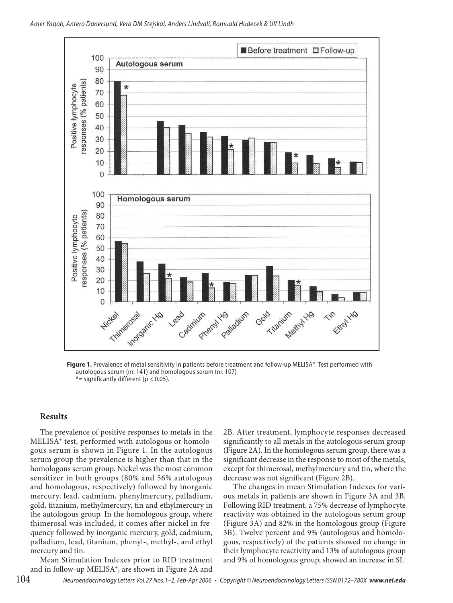

Figure 1. Prevalence of metal sensitivity in patients before treatment and follow-up MELISA®. Test performed with autologous serum (nr. 141) and homologous serum (nr. 107)  $*$  = significantly different (p < 0.05).

#### **Results**

The prevalence of positive responses to metals in the MELISA® test, performed with autologous or homologous serum is shown in Figure 1. In the autologous serum group the prevalence is higher than that in the homologous serum group. Nickel was the most common sensitizer in both groups (80% and 56% autologous and homologous, respectively) followed by inorganic mercury, lead, cadmium, phenylmercury, palladium, gold, titanium, methylmercury, tin and ethylmercury in the autologous group. In the homologous group, where thimerosal was included, it comes after nickel in frequency followed by inorganic mercury, gold, cadmium, palladium, lead, titanium, phenyl-, methyl-, and ethyl mercury and tin.

Mean Stimulation Indexes prior to RID treatment and in follow-up MELISA®, are shown in Figure 2A and

2B. After treatment, lymphocyte responses decreased significantly to all metals in the autologous serum group (Figure 2A). In the homologous serum group, there was a significant decrease in the response to most of the metals, except for thimerosal, methylmercury and tin, where the decrease was not significant (Figure 2B).

The changes in mean Stimulation Indexes for various metals in patients are shown in Figure 3A and 3B. Following RID treatment, a 75% decrease of lymphocyte reactivity was obtained in the autologous serum group (Figure 3A) and 82% in the homologous group (Figure 3B). Twelve percent and 9% (autologous and homologous, respectively) of the patients showed no change in their lymphocyte reactivity and 13% of autologous group and 9% of homologous group, showed an increase in SI.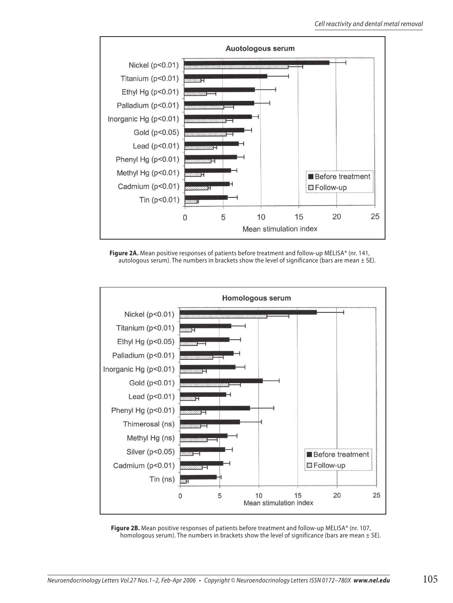

**Figure 2A.** Mean positive responses of patients before treatment and follow-up MELISA® (nr. 141, autologous serum). The numbers in brackets show the level of significance (bars are mean  $\pm$  SE).



Figure 2B. Mean positive responses of patients before treatment and follow-up MELISA® (nr. 107, homologous serum). The numbers in brackets show the level of significance (bars are mean  $\pm$  SE).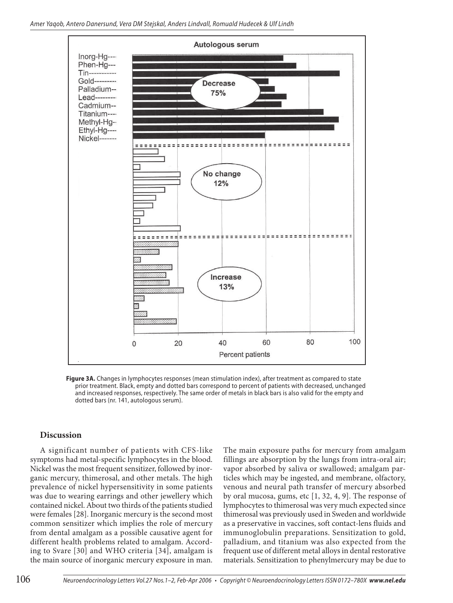

**Figure 3A.** Changes in lymphocytes responses (mean stimulation index), after treatment as compared to state prior treatment. Black, empty and dotted bars correspond to percent of patients with decreased, unchanged and increased responses, respectively. The same order of metals in black bars is also valid for the empty and dotted bars (nr. 141, autologous serum).

## **Discussion**

A significant number of patients with CFS-like symptoms had metal-specific lymphocytes in the blood. Nickel was the most frequent sensitizer, followed by inorganic mercury, thimerosal, and other metals. The high prevalence of nickel hypersensitivity in some patients was due to wearing earrings and other jewellery which contained nickel. About two thirds of the patients studied were females [28]. Inorganic mercury is the second most common sensitizer which implies the role of mercury from dental amalgam as a possible causative agent for different health problems related to amalgam. According to Svare [30] and WHO criteria [34], amalgam is the main source of inorganic mercury exposure in man.

The main exposure paths for mercury from amalgam fillings are absorption by the lungs from intra-oral air; vapor absorbed by saliva or swallowed; amalgam particles which may be ingested, and membrane, olfactory, venous and neural path transfer of mercury absorbed by oral mucosa, gums, etc [1, 32, 4, 9]. The response of lymphocytes to thimerosal was very much expected since thimerosal was previously used in Sweden and worldwide as a preservative in vaccines, soft contact-lens fluids and immunoglobulin preparations. Sensitization to gold, palladium, and titanium was also expected from the frequent use of different metal alloys in dental restorative materials. Sensitization to phenylmercury may be due to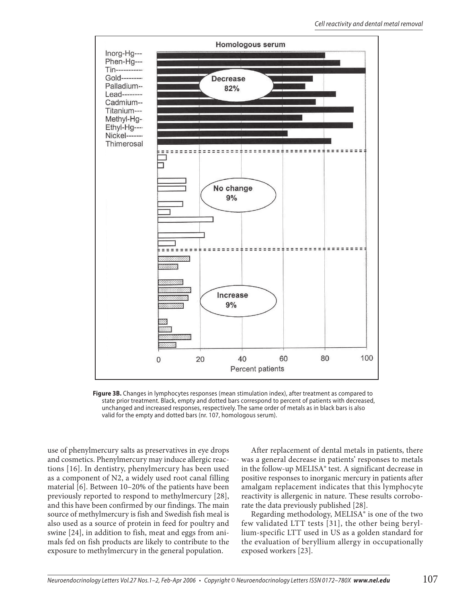

**Figure 3B.** Changes in lymphocytes responses (mean stimulation index), after treatment as compared to state prior treatment. Black, empty and dotted bars correspond to percent of patients with decreased, unchanged and increased responses, respectively. The same order of metals as in black bars is also valid for the empty and dotted bars (nr. 107, homologous serum).

use of phenylmercury salts as preservatives in eye drops and cosmetics. Phenylmercury may induce allergic reactions [16]. In dentistry, phenylmercury has been used as a component of N2, a widely used root canal filling material [6]. Between 10–20% of the patients have been previously reported to respond to methylmercury [28], and this have been confirmed by our findings. The main source of methylmercury is fish and Swedish fish meal is also used as a source of protein in feed for poultry and swine [24], in addition to fish, meat and eggs from animals fed on fish products are likely to contribute to the exposure to methylmercury in the general population.

After replacement of dental metals in patients, there was a general decrease in patients' responses to metals in the follow-up MELISA® test. A significant decrease in positive responses to inorganic mercury in patients after amalgam replacement indicates that this lymphocyte reactivity is allergenic in nature. These results corroborate the data previously published [28].

Regarding methodology, MELISA® is one of the two few validated LTT tests [31], the other being beryllium-specific LTT used in US as a golden standard for the evaluation of beryllium allergy in occupationally exposed workers [23].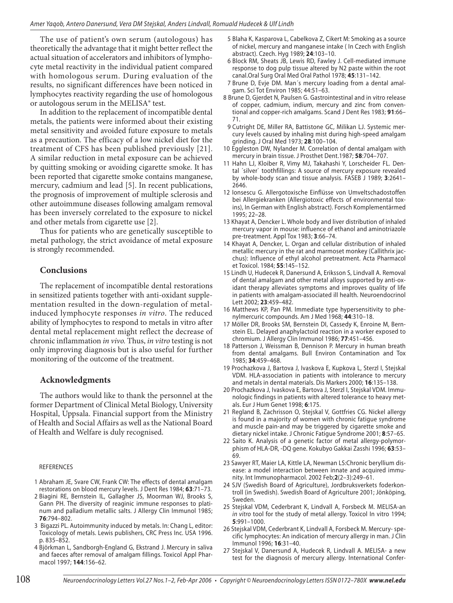The use of patient's own serum (autologous) has theoretically the advantage that it might better reflect the actual situation of accelerators and inhibitors of lymphocyte metal reactivity in the individual patient compared with homologous serum. During evaluation of the results, no significant differences have been noticed in lymphocytes reactivity regarding the use of homologous or autologous serum in the MELISA® test.

In addition to the replacement of incompatible dental metals, the patients were informed about their existing metal sensitivity and avoided future exposure to metals as a precaution. The efficacy of a low nickel diet for the treatment of CFS has been published previously [21]. A similar reduction in metal exposure can be achieved by quitting smoking or avoiding cigarette smoke. It has been reported that cigarette smoke contains manganese, mercury, cadmium and lead [5]. In recent publications, the prognosis of improvement of multiple sclerosis and other autoimmune diseases following amalgam removal has been inversely correlated to the exposure to nickel and other metals from cigarette use [2].

Thus for patients who are genetically susceptible to metal pathology, the strict avoidance of metal exposure is strongly recommended.

#### **Conclusions**

The replacement of incompatible dental restorations in sensitized patients together with anti-oxidant supplementation resulted in the down-regulation of metalinduced lymphocyte responses *in vitro*. The reduced ability of lymphocytes to respond to metals in vitro after dental metal replacement might reflect the decrease of chronic inflammation *in vivo.* Thus, *in vitro* testing is not only improving diagnosis but is also useful for further monitoring of the outcome of the treatment.

#### **Acknowledgments**

The authors would like to thank the personnel at the former Department of Clinical Metal Biology, University Hospital, Uppsala. Financial support from the Ministry of Health and Social Affairs as well as the National Board of Health and Welfare is duly recognised.

#### REFERENCES

- 1 Abraham JE, Svare CW, Frank CW: The effects of dental amalgam restorations on blood mercury levels. J Dent Res 1984; **63**:71–73.
- 2 Biagini RE, Bernstein IL, Gallagher JS, Moorman WJ, Brooks S, Gann PH. The diversity of reaginic immune responses to platinum and palladium metallic salts. J Allergy Clin Immunol 1985; **76**:794–802.
- 3 Bigazzi PL. Autoimmunity induced by metals. In: Chang L, editor: Toxicology of metals. Lewis publishers, CRC Press Inc. USA 1996. p. 835–852.
- 4 Björkman L, Sandborgh-England G, Ekstrand J. Mercury in saliva and faeces after removal of amalgam fillings. Toxicol Appl Pharmacol 1997; **144**:156–62.
- 5 Blaha K, Kasparova L, Cabelkova Z, Cikert M: Smoking as a source of nickel, mercury and manganese intake ( In Czech with English abstract). Czech. Hyg 1989; **24**:103–10.
- 6 Block RM, Sheats JB, Lewis RD, Fawley J. Cell-mediated immune response to dog pulp tissue altered by N2 paste within the root canal.Oral Surg Oral Med Oral Pathol 1978; **45**:131–142.
- 7 Brune D, Evje DM. Man´s mercury loading from a dental amalgam. Sci Tot Environ 1985; 44:51–63.
- 8 Brune D, Gjerdet N, Paulsen G. Gastrointestinal and in vitro release of copper, cadmium, indium, mercury and zinc from conventional and copper-rich amalgams. Scand J Dent Res 1983; **91**:66– 71.
- 9 Cutright DE, Miller RA, Battistone GC, Milikan LJ. Systemic mercury levels caused by inhaling mist during high-speed amalgam grinding. J Oral Med 1973; **28**:100–104.
- 10 Eggleston DW, Nylander M. Correlation of dental amalgam with mercury in brain tissue. J Prosthet Dent.1987; **58**:704–707.
- 11 Hahn LJ, Kloiber R, Vimy MJ, Takahashi Y, Lorscheider FL. Dental ´silver` toothfillings: A source of mercury exposure revealed by whole-body scan and tissue analysis. FASEB J 1989; **3**:2641– 2646.
- 12 Ionsescu G. Allergotoxische Einflüsse von Umveltschadostoffen bei Allergiekranken (Allergiotoxic effects of environmental toxins), In German with English abstract). Forsch Komplementärmed 1995; 22–28.
- 13 Khayat A, Dencker L. Whole body and liver distribution of inhaled mercury vapor in mouse: influence of ethanol and aminotriazole pre-treatment. Appl Tox 1983; **3**:66–74.
- 14 Khayat A, Dencker, L. Organ and cellular distribution of inhaled metallic mercury in the rat and marmoset monkey (Callithrix jacchus): Influence of ethyl alcohol pretreatment. Acta Pharmacol et Toxicol. 1984; **55**:145–152.
- 15 Lindh U, Hudecek R, Danersund A, Eriksson S, Lindvall A. Removal of dental amalgam and other metal alloys supported by anti-oxidant therapy alleviates symptoms and improves quality of life in patients with amalgam-associated ill health. Neuroendocrinol Lett 2002; **23**:459–482.
- 16 Matthews KP, Pan PM. Immediate type hypersensitivity to phenylmercuric compounds. Am J Med 1968; **44**:310–18.
- 17 Möller DR, Brooks SM, Bernstein DI, Cassedy K, Enroine M, Bernstein EL. Delayed anaphylactoid reaction in a worker exposed to chromium. J Allergy Clin Immunol 1986; **77**:451–456.
- 18 Patterson J, Weissman B, Dennison P. Mercury in human breath from dental amalgams. Bull Environ Contamination and Tox 1985; **34**:459–468.
- 19 Prochazkova J, Bartova J, Ivaskova E, Kupkova L, Sterzl I, Stejskal VDM. HLA-association in patients with intolerance to mercury and metals in dental materials. Dis Markers 2000; **16**:135–138.
- 20 Prochazkova J, Ivaskova E, Bartova J, Sterzl I, Stejskal VDM. Immunologic findings in patients with altered tolerance to heavy metals. Eur J Hum Genet 1998; **6**:175.
- 21 Regland B, Zachrisson O, Stejskal V, Gottfries CG. Nickel allergy is found in a majority of women with chronic fatigue syndrome and muscle pain-and may be triggered by cigarette smoke and dietary nickel intake. J Chronic Fatigue Syndrome 2001; **8**:57–65.
- 22 Saito K. Analysis of a genetic factor of metal allergy-polymorphism of HLA-DR, -DQ gene. Kokubyo Gakkai Zasshi 1996; **63**:53– 69.
- 23 Sawyer RT, Maier LA, Kittle LA, Newman LS:Chronic beryllium disease: a model interaction between innate and acquired immunity. Int Immunopharmacol. 2002 Feb;**2**(2–3):249–61.
- 24 SJV (Swedish Board of Agriculture), Jordbruksverkets foderkontroll (in Swedish). Swedish Board of Agriculture 2001; Jönköping, Sweden.
- 25 Stejskal VDM, Cederbrant K, Lindvall A, Forsbeck M. MELISA-an in vitro tool for the study of metal allergy. Toxicol In vitro 1994; **5**:991–1000.
- 26 Stejskal VDM, Cederbrant K, Lindvall A, Forsbeck M. Mercury- specific lymphocytes: An indication of mercury allergy in man. J Clin Immunol 1996; **16**:31–40.
- 27 Stejskal V, Danersund A, Hudecek R, Lindvall A. MELISA- a new test for the diagnosis of mercury allergy. International Confer-